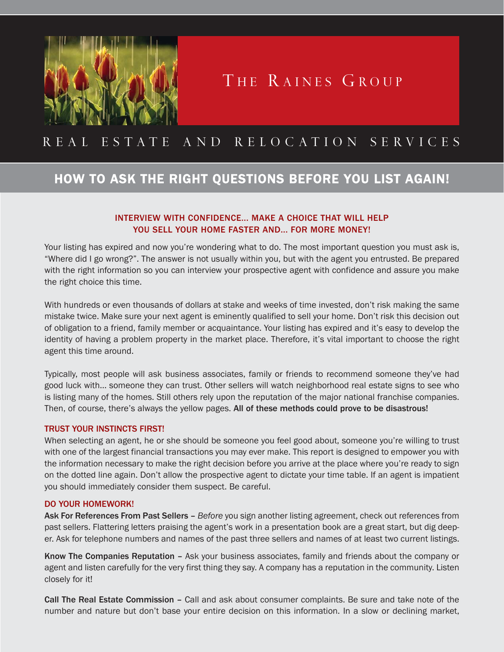

# THE RAINES GROUP

## REAL ESTATE AND RELOCATION SERVICES

### HOW TO ASK THE RIGHT QUESTIONS BEFORE YOU LIST AGAIN!

### INTERVIEW WITH CONFIDENCE... MAKE A CHOICE THAT WILL HELP YOU SELL YOUR HOME FASTER AND... FOR MORE MONEY!

Your listing has expired and now you're wondering what to do. The most important question you must ask is, "Where did I go wrong?". The answer is not usually within you, but with the agent you entrusted. Be prepared with the right information so you can interview your prospective agent with confidence and assure you make the right choice this time.

With hundreds or even thousands of dollars at stake and weeks of time invested, don't risk making the same mistake twice. Make sure your next agent is eminently qualified to sell your home. Don't risk this decision out of obligation to a friend, family member or acquaintance. Your listing has expired and it's easy to develop the identity of having a problem property in the market place. Therefore, it's vital important to choose the right agent this time around.

Typically, most people will ask business associates, family or friends to recommend someone they've had good luck with... someone they can trust. Other sellers will watch neighborhood real estate signs to see who is listing many of the homes. Still others rely upon the reputation of the major national franchise companies. Then, of course, there's always the yellow pages. All of these methods could prove to be disastrous!

#### TRUST YOUR INSTINCTS FIRST!

When selecting an agent, he or she should be someone you feel good about, someone you're willing to trust with one of the largest financial transactions you may ever make. This report is designed to empower you with the information necessary to make the right decision before you arrive at the place where you're ready to sign on the dotted line again. Don't allow the prospective agent to dictate your time table. If an agent is impatient you should immediately consider them suspect. Be careful.

#### DO YOUR HOMEWORK!

Ask For References From Past Sellers – *Before* you sign another listing agreement, check out references from past sellers. Flattering letters praising the agent's work in a presentation book are a great start, but dig deeper. Ask for telephone numbers and names of the past three sellers and names of at least two current listings.

Know The Companies Reputation – Ask your business associates, family and friends about the company or agent and listen carefully for the very first thing they say. A company has a reputation in the community. Listen closely for it!

Call The Real Estate Commission – Call and ask about consumer complaints. Be sure and take note of the number and nature but don't base your entire decision on this information. In a slow or declining market,